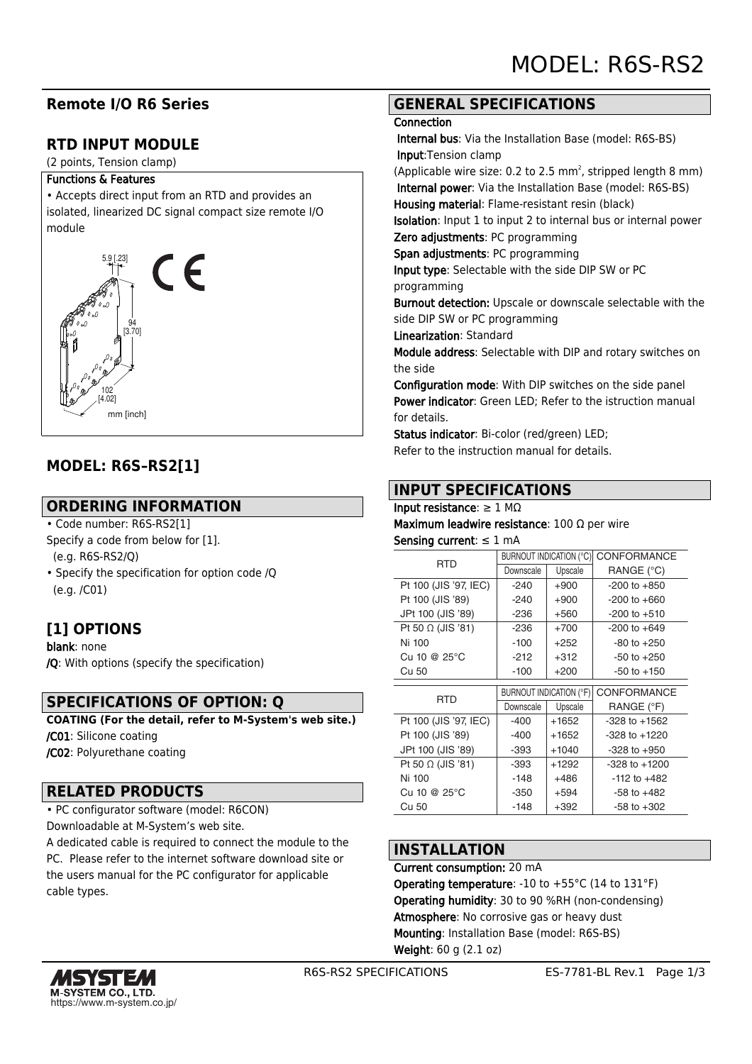# **Remote I/O R6 Series**

# **RTD INPUT MODULE**

(2 points, Tension clamp)

#### Functions & Features

• Accepts direct input from an RTD and provides an isolated, linearized DC signal compact size remote I/O module



# **MODEL: R6S–RS2[1]**

## **ORDERING INFORMATION**

• Code number: R6S-RS2[1]

- Specify a code from below for [1]. (e.g. R6S-RS2/Q)
- Specify the specification for option code /Q

(e.g. /C01)

# **[1] OPTIONS**

blank: none /Q: With options (specify the specification)

## **SPECIFICATIONS OF OPTION: Q**

**COATING (For the detail, refer to M-System's web site.)** /C01: Silicone coating /C02: Polyurethane coating

## **RELATED PRODUCTS**

• PC configurator software (model: R6CON) Downloadable at M-System's web site.

A dedicated cable is required to connect the module to the PC. Please refer to the internet software download site or the users manual for the PC configurator for applicable cable types.

## **GENERAL SPECIFICATIONS**

#### **Connection**

 Internal bus: Via the Installation Base (model: R6S-BS) Input:Tension clamp

(Applicable wire size: 0.2 to 2.5  $mm<sup>2</sup>$ , stripped length 8  $mm$ ) Internal power: Via the Installation Base (model: R6S-BS) Housing material: Flame-resistant resin (black)

Isolation: Input 1 to input 2 to internal bus or internal power Zero adjustments: PC programming

Span adjustments: PC programming

Input type: Selectable with the side DIP SW or PC

programming

Burnout detection: Upscale or downscale selectable with the side DIP SW or PC programming

Linearization: Standard

Module address: Selectable with DIP and rotary switches on the side

Configuration mode: With DIP switches on the side panel Power indicator: Green LED; Refer to the istruction manual for details.

Status indicator: Bi-color (red/green) LED; Refer to the instruction manual for details.

## **INPUT SPECIFICATIONS**

#### Input resistance: ≥ 1 MΩ

Maximum leadwire resistance: 100 Ω per wire Sensing current: ≤ 1 mA

| <b>RTD</b>               | <b>BURNOUT INDICATION (°C)</b> |         | <b>CONFORMANCE</b> |
|--------------------------|--------------------------------|---------|--------------------|
|                          | Downscale                      | Upscale | RANGE (°C)         |
| Pt 100 (JIS '97, IEC)    | $-240$                         | $+900$  | $-200$ to $+850$   |
| Pt 100 (JIS '89)         | $-240$                         | $+900$  | $-200$ to $+660$   |
| JPt 100 (JIS '89)        | $-236$                         | $+560$  | $-200$ to $+510$   |
| Pt 50 $\Omega$ (JIS '81) | $-236$                         | $+700$  | $-200$ to $+649$   |
| Ni 100                   | $-100$                         | $+252$  | $-80$ to $+250$    |
| Cu 10 @ $25^{\circ}$ C   | $-212$                         | $+312$  | $-50$ to $+250$    |
| Cu 50                    | $-100$                         | $+200$  | $-50$ to $+150$    |
|                          |                                |         |                    |
| <b>RTD</b>               | <b>BURNOUT INDICATION (°F)</b> |         | <b>CONFORMANCE</b> |
|                          | Downscale                      | Upscale | RANGE (°F)         |
| Pt 100 (JIS '97, IEC)    | $-400$                         | $+1652$ | $-328$ to $+1562$  |
| Pt 100 (JIS '89)         | -400                           | +1652   | $-328$ to $+1220$  |
| JPt 100 (JIS '89)        | -393                           | +1040   | $-328$ to $+950$   |
| Pt 50 $\Omega$ (JIS '81) | -393                           | $+1292$ | $-328$ to $+1200$  |
| Ni 100                   | -148                           | +486    | $-112$ to $+482$   |
| Cu 10 @ 25°C             | $-350$                         | $+594$  | $-58$ to $+482$    |
| Cu 50                    | -148                           | $+392$  | $-58$ to $+302$    |

# **INSTALLATION**

Current consumption: 20 mA Operating temperature: -10 to +55°C (14 to 131°F) Operating humidity: 30 to 90 %RH (non-condensing) Atmosphere: No corrosive gas or heavy dust Mounting: Installation Base (model: R6S-BS) Weight: 60 g (2.1 oz)

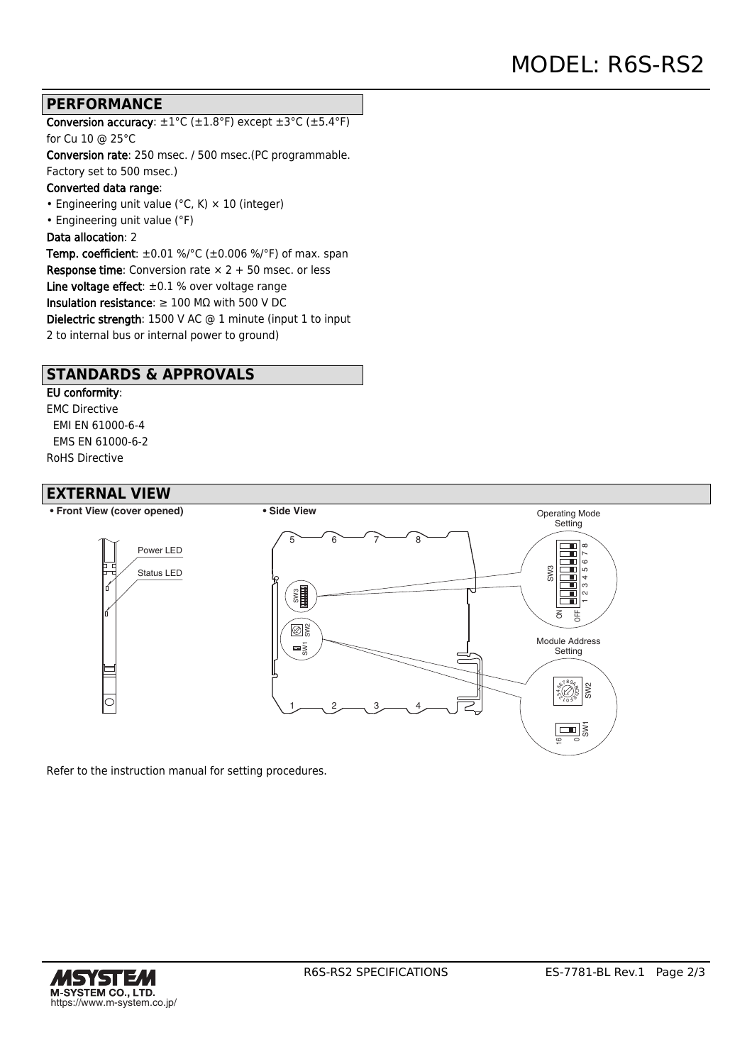### **PERFORMANCE**

Conversion accuracy:  $\pm 1^{\circ}$ C ( $\pm 1.8^{\circ}$ F) except  $\pm 3^{\circ}$ C ( $\pm 5.4^{\circ}$ F) for Cu 10 @ 25°C

Conversion rate: 250 msec. / 500 msec.(PC programmable. Factory set to 500 msec.)

#### Converted data range:

• Engineering unit value ( $°C$ , K)  $\times$  10 (integer)

• Engineering unit value (°F)

#### Data allocation: 2

Temp. coefficient:  $\pm 0.01$  %/°C ( $\pm 0.006$  %/°F) of max. span **Response time:** Conversion rate  $\times$  2 + 50 msec. or less Line voltage effect:  $\pm 0.1$  % over voltage range Insulation resistance:  $\geq 100$  M $\Omega$  with 500 V DC Dielectric strength: 1500 V AC @ 1 minute (input 1 to input 2 to internal bus or internal power to ground)

### **STANDARDS & APPROVALS**

### EU conformity:

EMC Directive EMI EN 61000-6-4 EMS EN 61000-6-2 RoHS Directive

### **EXTERNAL VIEW**



Refer to the instruction manual for setting procedures.